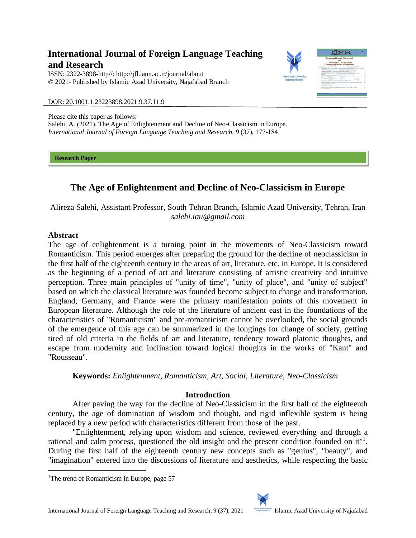# **International Journal of Foreign Language Teaching and Research**

ISSN: 2322-3898-http//: [http://jfl.iaun.ac.ir/j](http://jfl.iaun.ac.ir/)ournal/about © 2021- Published by Islamic Azad University, Najafabad Branch



DOR: 20.1001.1.23223898.2021.9.37.11.9

Please cite this paper as follows: Salehi, A. (2021). The Age of Enlightenment and Decline of Neo-Classicism in Europe. *International Journal of Foreign Language Teaching and Research, 9* (37), 177-184.

**Research Paper** 

# **The Age of Enlightenment and Decline of Neo-Classicism in Europe**

Alireza Salehi, Assistant Professor, South Tehran Branch, Islamic Azad University, Tehran, Iran *salehi.iau@gmail.com*

## **Abstract**

The age of enlightenment is a turning point in the movements of Neo-Classicism toward Romanticism. This period emerges after preparing the ground for the decline of neoclassicism in the first half of the eighteenth century in the areas of art, literature, etc. in Europe. It is considered as the beginning of a period of art and literature consisting of artistic creativity and intuitive perception. Three main principles of "unity of time", "unity of place", and "unity of subject" based on which the classical literature was founded become subject to change and transformation. England, Germany, and France were the primary manifestation points of this movement in European literature. Although the role of the literature of ancient east in the foundations of the characteristics of "Romanticism" and pre-romanticism cannot be overlooked, the social grounds of the emergence of this age can be summarized in the longings for change of society, getting tired of old criteria in the fields of art and literature, tendency toward platonic thoughts, and escape from modernity and inclination toward logical thoughts in the works of "Kant" and "Rousseau".

**Keywords:** *Enlightenment, Romanticism, Art, Social, Literature, Neo-Classicism*

## **Introduction**

After paving the way for the decline of Neo-Classicism in the first half of the eighteenth century, the age of domination of wisdom and thought, and rigid inflexible system is being replaced by a new period with characteristics different from those of the past.

"Enlightenment, relying upon wisdom and science, reviewed everything and through a rational and calm process, questioned the old insight and the present condition founded on it"<sup>1</sup>. During the first half of the eighteenth century new concepts such as "genius", "beauty", and "imagination" entered into the discussions of literature and aesthetics, while respecting the basic

<sup>&</sup>lt;sup>1</sup>The trend of Romanticism in Europe, page 57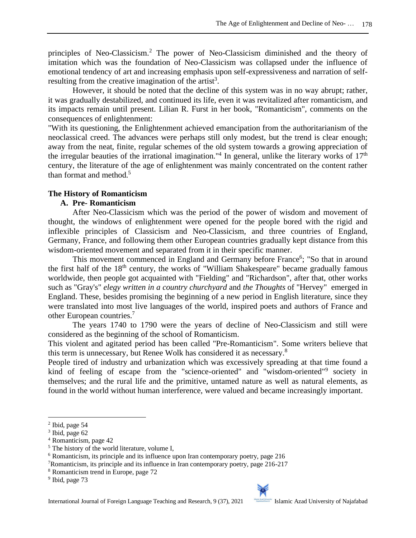principles of Neo-Classicism.<sup>2</sup> The power of Neo-Classicism diminished and the theory of imitation which was the foundation of Neo-Classicism was collapsed under the influence of emotional tendency of art and increasing emphasis upon self-expressiveness and narration of selfresulting from the creative imagination of the artist<sup>3</sup>.

However, it should be noted that the decline of this system was in no way abrupt; rather, it was gradually destabilized, and continued its life, even it was revitalized after romanticism, and its impacts remain until present. Lilian R. Furst in her book, "Romanticism", comments on the consequences of enlightenment:

"With its questioning, the Enlightenment achieved emancipation from the authoritarianism of the neoclassical creed. The advances were perhaps still only modest, but the trend is clear enough; away from the neat, finite, regular schemes of the old system towards a growing appreciation of the irregular beauties of the irrational imagination."<sup>4</sup> In general, unlike the literary works of  $17<sup>th</sup>$ century, the literature of the age of enlightenment was mainly concentrated on the content rather than format and method.<sup>5</sup>

## **The History of Romanticism**

## **A. Pre- Romanticism**

After Neo-Classicism which was the period of the power of wisdom and movement of thought, the windows of enlightenment were opened for the people bored with the rigid and inflexible principles of Classicism and Neo-Classicism, and three countries of England, Germany, France, and following them other European countries gradually kept distance from this wisdom-oriented movement and separated from it in their specific manner.

This movement commenced in England and Germany before France<sup>6</sup>; "So that in around the first half of the  $18<sup>th</sup>$  century, the works of "William Shakespeare" became gradually famous worldwide, then people got acquainted with "Fielding" and "Richardson", after that, other works such as "Gray's" *elegy written in a country churchyard* and *the Thoughts* of "Hervey" emerged in England. These, besides promising the beginning of a new period in English literature, since they were translated into most live languages of the world, inspired poets and authors of France and other European countries.<sup>7</sup>

The years 1740 to 1790 were the years of decline of Neo-Classicism and still were considered as the beginning of the school of Romanticism.

This violent and agitated period has been called "Pre-Romanticism". Some writers believe that this term is unnecessary, but Renee Wolk has considered it as necessary.<sup>8</sup>

People tired of industry and urbanization which was excessively spreading at that time found a kind of feeling of escape from the "science-oriented" and "wisdom-oriented"<sup>9</sup> society in themselves; and the rural life and the primitive, untamed nature as well as natural elements, as found in the world without human interference, were valued and became increasingly important.



<sup>2</sup> Ibid, page 54

<sup>&</sup>lt;sup>3</sup> Ibid, page 62

<sup>4</sup> Romanticism, page 42

<sup>&</sup>lt;sup>5</sup> The history of the world literature, volume I,

<sup>6</sup> Romanticism, its principle and its influence upon Iran contemporary poetry, page 216

<sup>7</sup>Romanticism, its principle and its influence in Iran contemporary poetry, page 216-217

<sup>8</sup> Romanticism trend in Europe, page 72

<sup>&</sup>lt;sup>9</sup> Ibid, page 73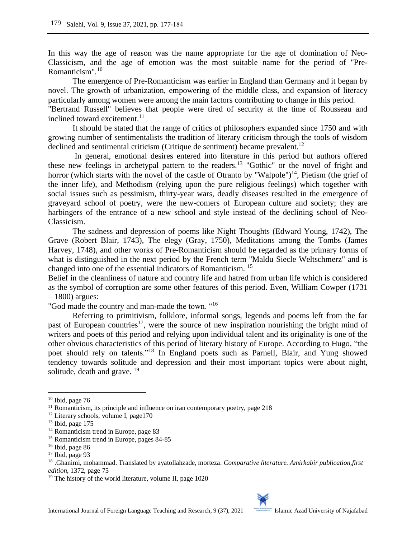In this way the age of reason was the name appropriate for the age of domination of Neo-Classicism, and the age of emotion was the most suitable name for the period of "Pre-Romanticism".<sup>10</sup>

The emergence of Pre-Romanticism was earlier in England than Germany and it began by novel. The growth of urbanization, empowering of the middle class, and expansion of literacy particularly among women were among the main factors contributing to change in this period.

"Bertrand Russell" believes that people were tired of security at the time of Rousseau and inclined toward excitement.<sup>11</sup>

It should be stated that the range of critics of philosophers expanded since 1750 and with growing number of sentimentalists the tradition of literary criticism through the tools of wisdom declined and sentimental criticism (Critique de sentiment) became prevalent.<sup>12</sup>

In general, emotional desires entered into literature in this period but authors offered these new feelings in archetypal pattern to the readers.<sup>13</sup> "Gothic" or the novel of fright and horror (which starts with the novel of the castle of Otranto by "Walpole")<sup>14</sup>, Pietism (the grief of the inner life), and Methodism (relying upon the pure religious feelings) which together with social issues such as pessimism, thirty-year wars, deadly diseases resulted in the emergence of graveyard school of poetry, were the new-comers of European culture and society; they are harbingers of the entrance of a new school and style instead of the declining school of Neo-Classicism.

The sadness and depression of poems like Night Thoughts (Edward Young, 1742), The Grave (Robert Blair, 1743), The elegy (Gray, 1750), Meditations among the Tombs (James Harvey, 1748), and other works of Pre-Romanticism should be regarded as the primary forms of what is distinguished in the next period by the French term "Maldu Siecle Weltschmerz" and is changed into one of the essential indicators of Romanticism. <sup>15</sup>

Belief in the cleanliness of nature and country life and hatred from urban life which is considered as the symbol of corruption are some other features of this period. Even, William Cowper (1731 – 1800) argues:

"God made the country and man-made the town. "<sup>16</sup>

Referring to primitivism, folklore, informal songs, legends and poems left from the far past of European countries<sup>17</sup>, were the source of new inspiration nourishing the bright mind of writers and poets of this period and relying upon individual talent and its originality is one of the other obvious characteristics of this period of literary history of Europe. According to Hugo, "the poet should rely on talents."<sup>18</sup> In England poets such as Parnell, Blair, and Yung showed tendency towards solitude and depression and their most important topics were about night, solitude, death and grave.  $19$ 

 $10$  Ibid, page 76

 $11$  Romanticism, its principle and influence on iran contemporary poetry, page 218

<sup>&</sup>lt;sup>12</sup> Literary schools, volume I, page170

 $13$  Ibid, page 175

<sup>&</sup>lt;sup>14</sup> Romanticism trend in Europe, page 83

<sup>15</sup> Romanticism trend in Europe, pages 84-85

<sup>16</sup> Ibid, page 86

 $17$  Ibid, page 93

<sup>18</sup> .Ghanimi, mohammad. Translated by ayatollahzade, morteza. *Comparative literature. Amirkabir publication,first edition,* 1372, page 75

<sup>&</sup>lt;sup>19</sup> The history of the world literature, volume II, page 1020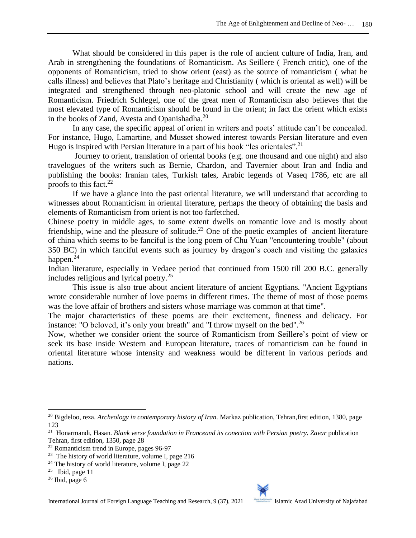What should be considered in this paper is the role of ancient culture of India, Iran, and Arab in strengthening the foundations of Romanticism. As Seillere ( French critic), one of the opponents of Romanticism, tried to show orient (east) as the source of romanticism ( what he calls illness) and believes that Plato's heritage and Christianity ( which is oriental as well) will be integrated and strengthened through neo-platonic school and will create the new age of Romanticism. Friedrich Schlegel, one of the great men of Romanticism also believes that the most elevated type of Romanticism should be found in the orient; in fact the orient which exists in the books of Zand, Avesta and Opanishadha.<sup>20</sup>

In any case, the specific appeal of orient in writers and poets' attitude can't be concealed. For instance, Hugo, Lamartine, and Musset showed interest towards Persian literature and even Hugo is inspired with Persian literature in a part of his book "les orientales".<sup>21</sup>

Journey to orient, translation of oriental books (e.g. one thousand and one night) and also travelogues of the writers such as Bernie, Chardon, and Tavernier about Iran and India and publishing the books: Iranian tales, Turkish tales, Arabic legends of Vaseq 1786, etc are all proofs to this fact. $^{22}$ 

If we have a glance into the past oriental literature, we will understand that according to witnesses about Romanticism in oriental literature, perhaps the theory of obtaining the basis and elements of Romanticism from orient is not too farfetched.

Chinese poetry in middle ages, to some extent dwells on romantic love and is mostly about friendship, wine and the pleasure of solitude.<sup>23</sup> One of the poetic examples of ancient literature of china which seems to be fanciful is the long poem of Chu Yuan "encountering trouble" (about 350 BC) in which fanciful events such as journey by dragon's coach and visiting the galaxies happen. $^{24}$ 

Indian literature, especially in Vedaee period that continued from 1500 till 200 B.C. generally includes religious and lyrical poetry.<sup>25</sup>

This issue is also true about ancient literature of ancient Egyptians. "Ancient Egyptians wrote considerable number of love poems in different times. The theme of most of those poems was the love affair of brothers and sisters whose marriage was common at that time".

The major characteristics of these poems are their excitement, fineness and delicacy. For instance: "O beloved, it's only your breath" and "I throw myself on the bed".<sup>26</sup>

Now, whether we consider orient the source of Romanticism from Seillere's point of view or seek its base inside Western and European literature, traces of romanticism can be found in oriental literature whose intensity and weakness would be different in various periods and nations.



<sup>&</sup>lt;sup>20</sup> Bigdeloo, reza. *Archeology in contemporary history of Iran*. Markaz publication, Tehran, first edition, 1380, page 123

<sup>21</sup> Honarmandi, Hasan. *Blank verse foundation in Franceand its conection with Persian poetry. Zavar* publication Tehran, first edition, 1350, page 28

<sup>22</sup> Romanticism trend in Europe, pages 96-97

<sup>23</sup> The history of world literature, volume I, page 216

 $24$  The history of world literature, volume I, page 22

<sup>&</sup>lt;sup>25</sup> Ibid, page 11

 $26$  Ibid, page 6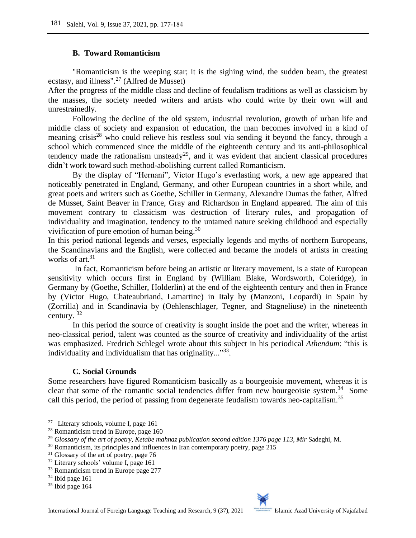### **B. Toward Romanticism**

"Romanticism is the weeping star; it is the sighing wind, the sudden beam, the greatest ecstasy, and illness". <sup>27</sup> (Alfred de Musset)

After the progress of the middle class and decline of feudalism traditions as well as classicism by the masses, the society needed writers and artists who could write by their own will and unrestrainedly.

Following the decline of the old system, industrial revolution, growth of urban life and middle class of society and expansion of education, the man becomes involved in a kind of meaning crisis<sup>28</sup> who could relieve his restless soul via sending it beyond the fancy, through a school which commenced since the middle of the eighteenth century and its anti-philosophical tendency made the rationalism unsteady<sup>29</sup>, and it was evident that ancient classical procedures didn't work toward such method-abolishing current called Romanticism.

By the display of "Hernani", Victor Hugo's everlasting work, a new age appeared that noticeably penetrated in England, Germany, and other European countries in a short while, and great poets and writers such as Goethe, Schiller in Germany, Alexandre Dumas the father, Alfred de Musset, Saint Beaver in France, Gray and Richardson in England appeared. The aim of this movement contrary to classicism was destruction of literary rules, and propagation of individuality and imagination, tendency to the untamed nature seeking childhood and especially vivification of pure emotion of human being.<sup>30</sup>

In this period national legends and verses, especially legends and myths of northern Europeans, the Scandinavians and the English, were collected and became the models of artists in creating works of art.<sup>31</sup>

In fact, Romanticism before being an artistic or literary movement, is a state of European sensitivity which occurs first in England by (William Blake, Wordsworth, Coleridge), in Germany by (Goethe, Schiller, Holderlin) at the end of the eighteenth century and then in France by (Victor Hugo, Chateaubriand, Lamartine) in Italy by (Manzoni, Leopardi) in Spain by (Zorrilla) and in Scandinavia by (Oehlenschlager, Tegner, and Stagneliuse) in the nineteenth century. <sup>32</sup>

In this period the source of creativity is sought inside the poet and the writer, whereas in neo-classical period, talent was counted as the source of creativity and individuality of the artist was emphasized. Fredrich Schlegel wrote about this subject in his periodical *Athenäum*: "this is individuality and individualism that has originality..."33.

### **C. Social Grounds**

Some researchers have figured Romanticism basically as a bourgeoisie movement, whereas it is clear that some of the romantic social tendencies differ from new bourgeoisie system.<sup>34</sup> Some call this period, the period of passing from degenerate feudalism towards neo-capitalism.<sup>35</sup>

<sup>&</sup>lt;sup>27</sup> Literary schools, volume I, page 161

<sup>28</sup> Romanticism trend in Europe, page 160

<sup>29</sup> *Glossary of the art of poetry, Ketabe mahnaz publication second edition 1376 page 113, Mir* Sadeghi, M.

<sup>&</sup>lt;sup>30</sup> Romanticism, its principles and influences in Iran contemporary poetry, page 215

 $31$  Glossary of the art of poetry, page 76

<sup>32</sup> Literary schools' volume I, page 161

<sup>&</sup>lt;sup>33</sup> Romanticism trend in Europe page 277

<sup>34</sup> Ibid page 161

<sup>&</sup>lt;sup>35</sup> Ibid page 164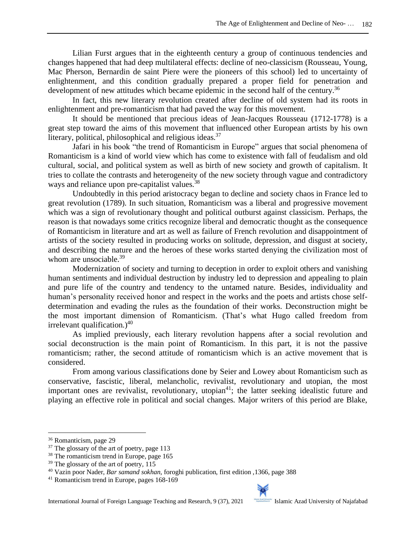Lilian Furst argues that in the eighteenth century a group of continuous tendencies and changes happened that had deep multilateral effects: decline of neo-classicism (Rousseau, Young, Mac Pherson, Bernardin de saint Piere were the pioneers of this school) led to uncertainty of enlightenment, and this condition gradually prepared a proper field for penetration and development of new attitudes which became epidemic in the second half of the century.<sup>36</sup>

In fact, this new literary revolution created after decline of old system had its roots in enlightenment and pre-romanticism that had paved the way for this movement.

It should be mentioned that precious ideas of Jean-Jacques Rousseau (1712-1778) is a great step toward the aims of this movement that influenced other European artists by his own literary, political, philosophical and religious ideas.<sup>37</sup>

Jafari in his book "the trend of Romanticism in Europe" argues that social phenomena of Romanticism is a kind of world view which has come to existence with fall of feudalism and old cultural, social, and political system as well as birth of new society and growth of capitalism. It tries to collate the contrasts and heterogeneity of the new society through vague and contradictory ways and reliance upon pre-capitalist values.<sup>38</sup>

Undoubtedly in this period aristocracy began to decline and society chaos in France led to great revolution (1789). In such situation, Romanticism was a liberal and progressive movement which was a sign of revolutionary thought and political outburst against classicism. Perhaps, the reason is that nowadays some critics recognize liberal and democratic thought as the consequence of Romanticism in literature and art as well as failure of French revolution and disappointment of artists of the society resulted in producing works on solitude, depression, and disgust at society, and describing the nature and the heroes of these works started denying the civilization most of whom are unsociable.<sup>39</sup>

Modernization of society and turning to deception in order to exploit others and vanishing human sentiments and individual destruction by industry led to depression and appealing to plain and pure life of the country and tendency to the untamed nature. Besides, individuality and human's personality received honor and respect in the works and the poets and artists chose selfdetermination and evading the rules as the foundation of their works. Deconstruction might be the most important dimension of Romanticism. (That's what Hugo called freedom from irrelevant qualification.) $40$ 

As implied previously, each literary revolution happens after a social revolution and social deconstruction is the main point of Romanticism. In this part, it is not the passive romanticism; rather, the second attitude of romanticism which is an active movement that is considered.

From among various classifications done by Seier and Lowey about Romanticism such as conservative, fascistic, liberal, melancholic, revivalist, revolutionary and utopian, the most important ones are revivalist, revolutionary, utopian<sup>41</sup>; the latter seeking idealistic future and playing an effective role in political and social changes. Major writers of this period are Blake,



<sup>36</sup> Romanticism, page 29

<sup>&</sup>lt;sup>37</sup> The glossary of the art of poetry, page 113

<sup>&</sup>lt;sup>38</sup> The romanticism trend in Europe, page 165

 $39$  The glossary of the art of poetry, 115

<sup>40</sup> Vazin poor Nader, *Bar samand sokhan,* foroghi publication, first edition ,1366, page 388

<sup>41</sup> Romanticism trend in Europe, pages 168-169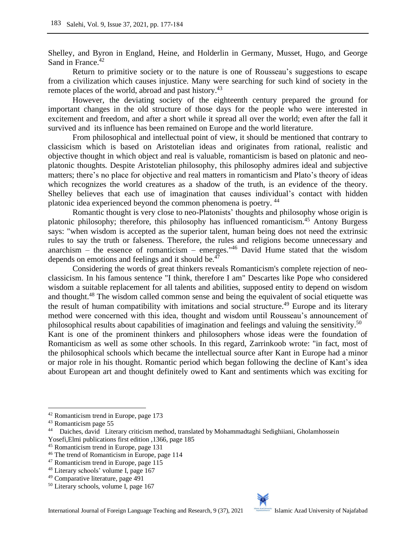Shelley, and Byron in England, Heine, and Holderlin in Germany, Musset, Hugo, and George Sand in France.<sup>42</sup>

Return to primitive society or to the nature is one of Rousseau's suggestions to escape from a civilization which causes injustice. Many were searching for such kind of society in the remote places of the world, abroad and past history.<sup>43</sup>

However, the deviating society of the eighteenth century prepared the ground for important changes in the old structure of those days for the people who were interested in excitement and freedom, and after a short while it spread all over the world; even after the fall it survived and its influence has been remained on Europe and the world literature.

From philosophical and intellectual point of view, it should be mentioned that contrary to classicism which is based on Aristotelian ideas and originates from rational, realistic and objective thought in which object and real is valuable, romanticism is based on platonic and neoplatonic thoughts. Despite Aristotelian philosophy, this philosophy admires ideal and subjective matters; there's no place for objective and real matters in romanticism and Plato's theory of ideas which recognizes the world creatures as a shadow of the truth, is an evidence of the theory. Shelley believes that each use of imagination that causes individual's contact with hidden platonic idea experienced beyond the common phenomena is poetry. <sup>44</sup>

Romantic thought is very close to neo-Platonists' thoughts and philosophy whose origin is platonic philosophy; therefore, this philosophy has influenced romanticism.<sup>45</sup> Antony Burgess says: "when wisdom is accepted as the superior talent, human being does not need the extrinsic rules to say the truth or falseness. Therefore, the rules and religions become unnecessary and anarchism – the essence of romanticism – emerges." $46$  David Hume stated that the wisdom depends on emotions and feelings and it should be. $47$ 

Considering the words of great thinkers reveals Romanticism's complete rejection of neoclassicism. In his famous sentence "I think, therefore I am" Descartes like Pope who considered wisdom a suitable replacement for all talents and abilities, supposed entity to depend on wisdom and thought.<sup>48</sup> The wisdom called common sense and being the equivalent of social etiquette was the result of human compatibility with imitations and social structure.<sup>49</sup> Europe and its literary method were concerned with this idea, thought and wisdom until Rousseau's announcement of philosophical results about capabilities of imagination and feelings and valuing the sensitivity.<sup>50</sup> Kant is one of the prominent thinkers and philosophers whose ideas were the foundation of Romanticism as well as some other schools. In this regard, Zarrinkoob wrote: "in fact, most of the philosophical schools which became the intellectual source after Kant in Europe had a minor or major role in his thought. Romantic period which began following the decline of Kant's idea about European art and thought definitely owed to Kant and sentiments which was exciting for



<sup>42</sup> Romanticism trend in Europe, page 173

<sup>43</sup> Romanticism page 55

<sup>&</sup>lt;sup>44</sup> Daiches, david Literary criticism method, translated by Mohammadtaghi Sedighiiani, Gholamhossein Yosefi,Elmi publications first edition ,1366, page 185

<sup>45</sup> Romanticism trend in Europe, page 131

<sup>46</sup> The trend of Romanticism in Europe, page 114

<sup>47</sup> Romanticism trend in Europe, page 115

<sup>48</sup> Literary schools' volume I, page 167

<sup>49</sup> Comparative literature, page 491

<sup>50</sup> Literary schools, volume I, page 167